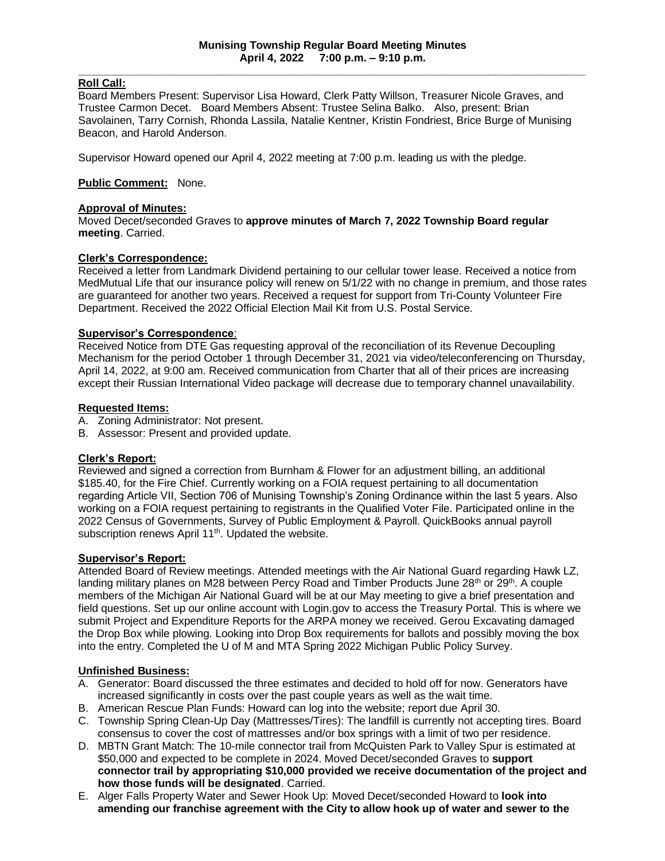## **Roll Call:**

Board Members Present: Supervisor Lisa Howard, Clerk Patty Willson, Treasurer Nicole Graves, and Trustee Carmon Decet. Board Members Absent: Trustee Selina Balko. Also, present: Brian Savolainen, Tarry Cornish, Rhonda Lassila, Natalie Kentner, Kristin Fondriest, Brice Burge of Munising Beacon, and Harold Anderson.

Supervisor Howard opened our April 4, 2022 meeting at 7:00 p.m. leading us with the pledge.

### **Public Comment:** None.

#### **Approval of Minutes:**

Moved Decet/seconded Graves to **approve minutes of March 7, 2022 Township Board regular meeting**. Carried.

### **Clerk's Correspondence:**

Received a letter from Landmark Dividend pertaining to our cellular tower lease. Received a notice from MedMutual Life that our insurance policy will renew on 5/1/22 with no change in premium, and those rates are guaranteed for another two years. Received a request for support from Tri-County Volunteer Fire Department. Received the 2022 Official Election Mail Kit from U.S. Postal Service.

### **Supervisor's Correspondence**:

Received Notice from DTE Gas requesting approval of the reconciliation of its Revenue Decoupling Mechanism for the period October 1 through December 31, 2021 via video/teleconferencing on Thursday, April 14, 2022, at 9:00 am. Received communication from Charter that all of their prices are increasing except their Russian International Video package will decrease due to temporary channel unavailability.

## **Requested Items:**

- A. Zoning Administrator: Not present.
- B. Assessor: Present and provided update.

#### **Clerk's Report:**

Reviewed and signed a correction from Burnham & Flower for an adjustment billing, an additional \$185.40, for the Fire Chief. Currently working on a FOIA request pertaining to all documentation regarding Article VII, Section 706 of Munising Township's Zoning Ordinance within the last 5 years. Also working on a FOIA request pertaining to registrants in the Qualified Voter File. Participated online in the 2022 Census of Governments, Survey of Public Employment & Payroll. QuickBooks annual payroll subscription renews April 11<sup>th</sup>. Updated the website.

#### **Supervisor's Report:**

Attended Board of Review meetings. Attended meetings with the Air National Guard regarding Hawk LZ, landing military planes on M28 between Percy Road and Timber Products June 28<sup>th</sup> or 29<sup>th</sup>. A couple members of the Michigan Air National Guard will be at our May meeting to give a brief presentation and field questions. Set up our online account with Login.gov to access the Treasury Portal. This is where we submit Project and Expenditure Reports for the ARPA money we received. Gerou Excavating damaged the Drop Box while plowing. Looking into Drop Box requirements for ballots and possibly moving the box into the entry. Completed the U of M and MTA Spring 2022 Michigan Public Policy Survey.

#### **Unfinished Business:**

- A. Generator: Board discussed the three estimates and decided to hold off for now. Generators have increased significantly in costs over the past couple years as well as the wait time.
- B. American Rescue Plan Funds: Howard can log into the website; report due April 30.
- C. Township Spring Clean-Up Day (Mattresses/Tires): The landfill is currently not accepting tires. Board consensus to cover the cost of mattresses and/or box springs with a limit of two per residence.
- D. MBTN Grant Match: The 10-mile connector trail from McQuisten Park to Valley Spur is estimated at \$50,000 and expected to be complete in 2024. Moved Decet/seconded Graves to **support connector trail by appropriating \$10,000 provided we receive documentation of the project and how those funds will be designated**. Carried.
- E. Alger Falls Property Water and Sewer Hook Up: Moved Decet/seconded Howard to **look into amending our franchise agreement with the City to allow hook up of water and sewer to the**